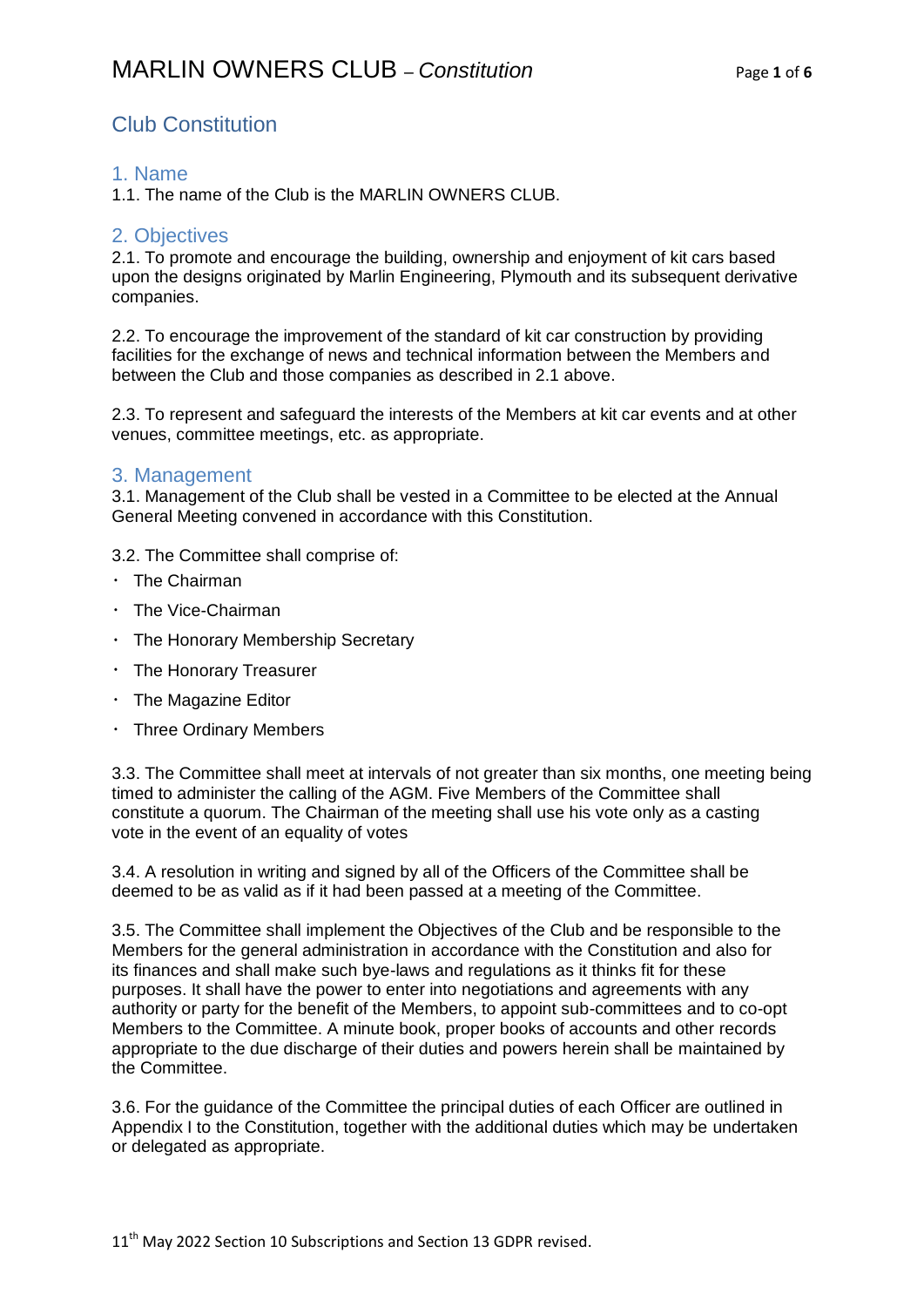## Club Constitution

#### 1. Name

1.1. The name of the Club is the MARLIN OWNERS CLUB.

#### 2. Objectives

2.1. To promote and encourage the building, ownership and enjoyment of kit cars based upon the designs originated by Marlin Engineering, Plymouth and its subsequent derivative companies.

2.2. To encourage the improvement of the standard of kit car construction by providing facilities for the exchange of news and technical information between the Members and between the Club and those companies as described in 2.1 above.

2.3. To represent and safeguard the interests of the Members at kit car events and at other venues, committee meetings, etc. as appropriate.

#### 3. Management

3.1. Management of the Club shall be vested in a Committee to be elected at the Annual General Meeting convened in accordance with this Constitution.

3.2. The Committee shall comprise of:

- $\cdot$  The Chairman
- The Vice-Chairman
- The Honorary Membership Secretary
- The Honorary Treasurer
- $\cdot$  The Magazine Editor
- Three Ordinary Members

3.3. The Committee shall meet at intervals of not greater than six months, one meeting being timed to administer the calling of the AGM. Five Members of the Committee shall constitute a quorum. The Chairman of the meeting shall use his vote only as a casting vote in the event of an equality of votes

3.4. A resolution in writing and signed by all of the Officers of the Committee shall be deemed to be as valid as if it had been passed at a meeting of the Committee.

3.5. The Committee shall implement the Objectives of the Club and be responsible to the Members for the general administration in accordance with the Constitution and also for its finances and shall make such bye-laws and regulations as it thinks fit for these purposes. It shall have the power to enter into negotiations and agreements with any authority or party for the benefit of the Members, to appoint sub-committees and to co-opt Members to the Committee. A minute book, proper books of accounts and other records appropriate to the due discharge of their duties and powers herein shall be maintained by the Committee.

3.6. For the guidance of the Committee the principal duties of each Officer are outlined in Appendix I to the Constitution, together with the additional duties which may be undertaken or delegated as appropriate.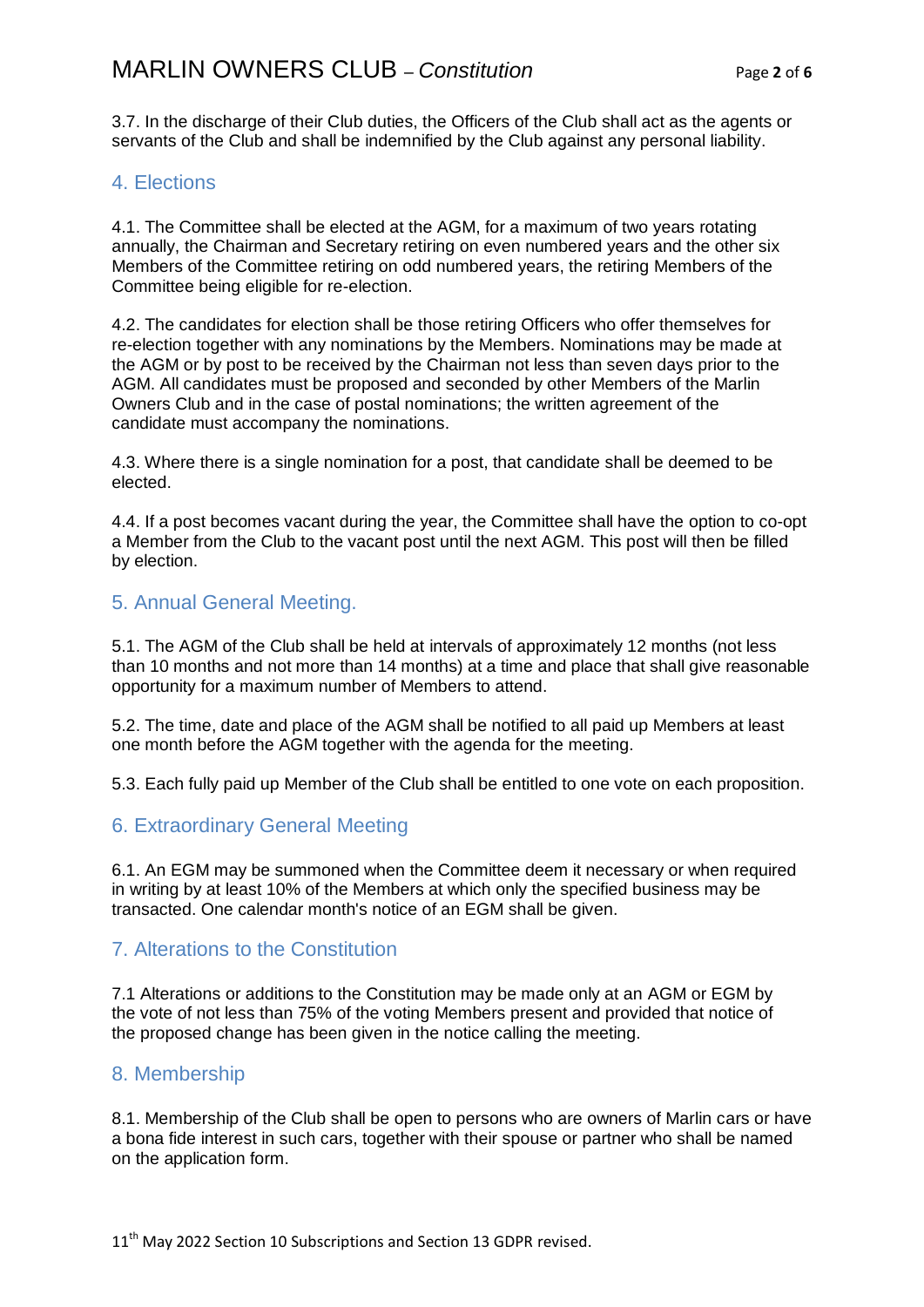3.7. In the discharge of their Club duties, the Officers of the Club shall act as the agents or servants of the Club and shall be indemnified by the Club against any personal liability.

### 4. Elections

4.1. The Committee shall be elected at the AGM, for a maximum of two years rotating annually, the Chairman and Secretary retiring on even numbered years and the other six Members of the Committee retiring on odd numbered years, the retiring Members of the Committee being eligible for re-election.

4.2. The candidates for election shall be those retiring Officers who offer themselves for re-election together with any nominations by the Members. Nominations may be made at the AGM or by post to be received by the Chairman not less than seven days prior to the AGM. All candidates must be proposed and seconded by other Members of the Marlin Owners Club and in the case of postal nominations; the written agreement of the candidate must accompany the nominations.

4.3. Where there is a single nomination for a post, that candidate shall be deemed to be elected.

4.4. If a post becomes vacant during the year, the Committee shall have the option to co-opt a Member from the Club to the vacant post until the next AGM. This post will then be filled by election.

#### 5. Annual General Meeting.

5.1. The AGM of the Club shall be held at intervals of approximately 12 months (not less than 10 months and not more than 14 months) at a time and place that shall give reasonable opportunity for a maximum number of Members to attend.

5.2. The time, date and place of the AGM shall be notified to all paid up Members at least one month before the AGM together with the agenda for the meeting.

5.3. Each fully paid up Member of the Club shall be entitled to one vote on each proposition.

## 6. Extraordinary General Meeting

6.1. An EGM may be summoned when the Committee deem it necessary or when required in writing by at least 10% of the Members at which only the specified business may be transacted. One calendar month's notice of an EGM shall be given.

## 7. Alterations to the Constitution

7.1 Alterations or additions to the Constitution may be made only at an AGM or EGM by the vote of not less than 75% of the voting Members present and provided that notice of the proposed change has been given in the notice calling the meeting.

## 8. Membership

8.1. Membership of the Club shall be open to persons who are owners of Marlin cars or have a bona fide interest in such cars, together with their spouse or partner who shall be named on the application form.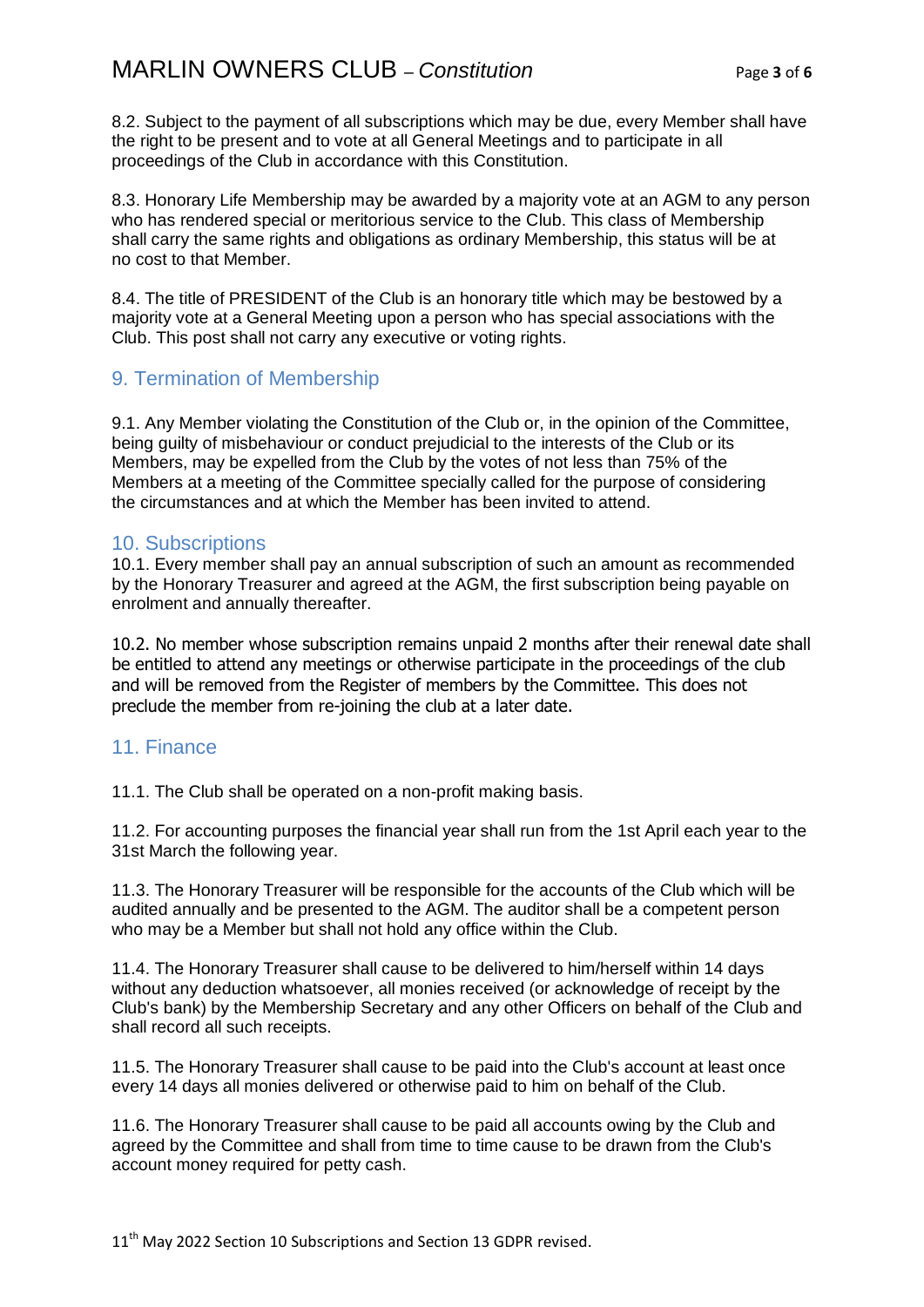8.2. Subject to the payment of all subscriptions which may be due, every Member shall have the right to be present and to vote at all General Meetings and to participate in all proceedings of the Club in accordance with this Constitution.

8.3. Honorary Life Membership may be awarded by a majority vote at an AGM to any person who has rendered special or meritorious service to the Club. This class of Membership shall carry the same rights and obligations as ordinary Membership, this status will be at no cost to that Member.

8.4. The title of PRESIDENT of the Club is an honorary title which may be bestowed by a majority vote at a General Meeting upon a person who has special associations with the Club. This post shall not carry any executive or voting rights.

## 9. Termination of Membership

9.1. Any Member violating the Constitution of the Club or, in the opinion of the Committee, being guilty of misbehaviour or conduct prejudicial to the interests of the Club or its Members, may be expelled from the Club by the votes of not less than 75% of the Members at a meeting of the Committee specially called for the purpose of considering the circumstances and at which the Member has been invited to attend.

#### 10. Subscriptions

10.1. Every member shall pay an annual subscription of such an amount as recommended by the Honorary Treasurer and agreed at the AGM, the first subscription being payable on enrolment and annually thereafter.

10.2. No member whose subscription remains unpaid 2 months after their renewal date shall be entitled to attend any meetings or otherwise participate in the proceedings of the club and will be removed from the Register of members by the Committee. This does not preclude the member from re-joining the club at a later date.

## 11. Finance

11.1. The Club shall be operated on a non-profit making basis.

11.2. For accounting purposes the financial year shall run from the 1st April each year to the 31st March the following year.

11.3. The Honorary Treasurer will be responsible for the accounts of the Club which will be audited annually and be presented to the AGM. The auditor shall be a competent person who may be a Member but shall not hold any office within the Club.

11.4. The Honorary Treasurer shall cause to be delivered to him/herself within 14 days without any deduction whatsoever, all monies received (or acknowledge of receipt by the Club's bank) by the Membership Secretary and any other Officers on behalf of the Club and shall record all such receipts.

11.5. The Honorary Treasurer shall cause to be paid into the Club's account at least once every 14 days all monies delivered or otherwise paid to him on behalf of the Club.

11.6. The Honorary Treasurer shall cause to be paid all accounts owing by the Club and agreed by the Committee and shall from time to time cause to be drawn from the Club's account money required for petty cash.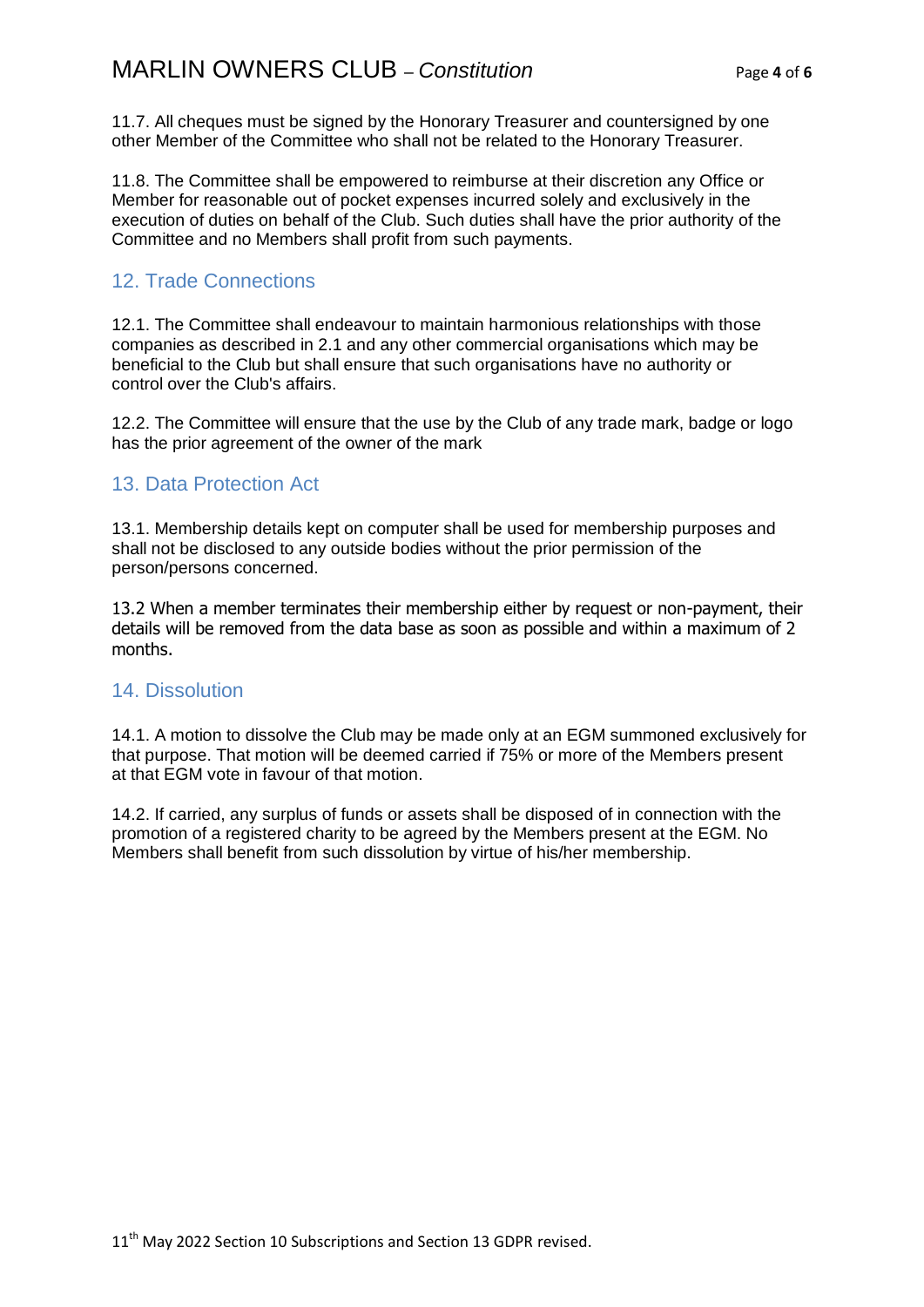11.7. All cheques must be signed by the Honorary Treasurer and countersigned by one other Member of the Committee who shall not be related to the Honorary Treasurer.

11.8. The Committee shall be empowered to reimburse at their discretion any Office or Member for reasonable out of pocket expenses incurred solely and exclusively in the execution of duties on behalf of the Club. Such duties shall have the prior authority of the Committee and no Members shall profit from such payments.

## 12. Trade Connections

12.1. The Committee shall endeavour to maintain harmonious relationships with those companies as described in 2.1 and any other commercial organisations which may be beneficial to the Club but shall ensure that such organisations have no authority or control over the Club's affairs.

12.2. The Committee will ensure that the use by the Club of any trade mark, badge or logo has the prior agreement of the owner of the mark

## 13. Data Protection Act

13.1. Membership details kept on computer shall be used for membership purposes and shall not be disclosed to any outside bodies without the prior permission of the person/persons concerned.

13.2 When a member terminates their membership either by request or non-payment, their details will be removed from the data base as soon as possible and within a maximum of 2 months.

## 14. Dissolution

14.1. A motion to dissolve the Club may be made only at an EGM summoned exclusively for that purpose. That motion will be deemed carried if 75% or more of the Members present at that EGM vote in favour of that motion.

14.2. If carried, any surplus of funds or assets shall be disposed of in connection with the promotion of a registered charity to be agreed by the Members present at the EGM. No Members shall benefit from such dissolution by virtue of his/her membership.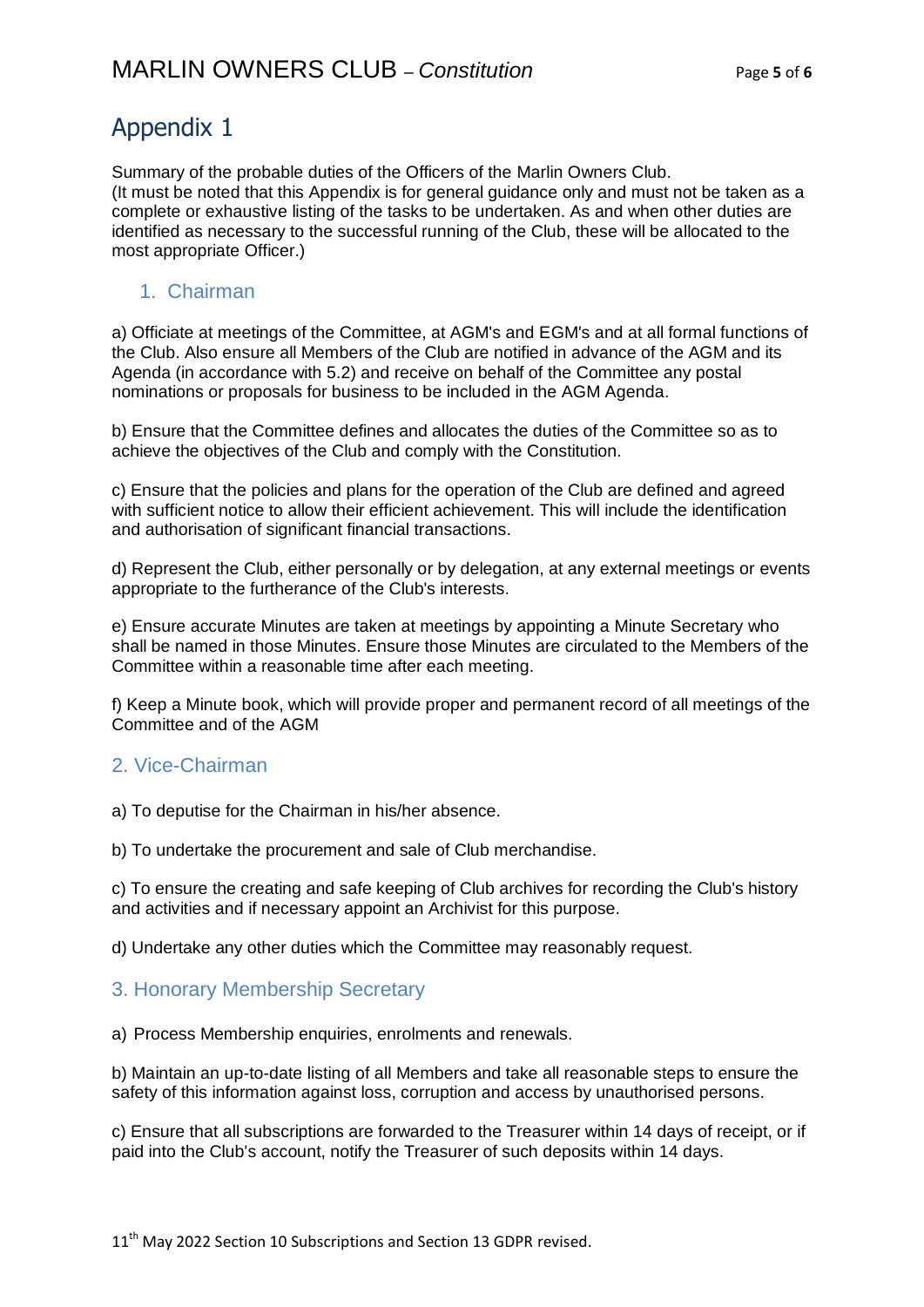# Appendix 1

Summary of the probable duties of the Officers of the Marlin Owners Club. (It must be noted that this Appendix is for general guidance only and must not be taken as a complete or exhaustive listing of the tasks to be undertaken. As and when other duties are identified as necessary to the successful running of the Club, these will be allocated to the most appropriate Officer.)

## 1. Chairman

a) Officiate at meetings of the Committee, at AGM's and EGM's and at all formal functions of the Club. Also ensure all Members of the Club are notified in advance of the AGM and its Agenda (in accordance with 5.2) and receive on behalf of the Committee any postal nominations or proposals for business to be included in the AGM Agenda.

b) Ensure that the Committee defines and allocates the duties of the Committee so as to achieve the objectives of the Club and comply with the Constitution.

c) Ensure that the policies and plans for the operation of the Club are defined and agreed with sufficient notice to allow their efficient achievement. This will include the identification and authorisation of significant financial transactions.

d) Represent the Club, either personally or by delegation, at any external meetings or events appropriate to the furtherance of the Club's interests.

e) Ensure accurate Minutes are taken at meetings by appointing a Minute Secretary who shall be named in those Minutes. Ensure those Minutes are circulated to the Members of the Committee within a reasonable time after each meeting.

f) Keep a Minute book, which will provide proper and permanent record of all meetings of the Committee and of the AGM

## 2. Vice-Chairman

a) To deputise for the Chairman in his/her absence.

b) To undertake the procurement and sale of Club merchandise.

c) To ensure the creating and safe keeping of Club archives for recording the Club's history and activities and if necessary appoint an Archivist for this purpose.

d) Undertake any other duties which the Committee may reasonably request.

## 3. Honorary Membership Secretary

a) Process Membership enquiries, enrolments and renewals.

b) Maintain an up-to-date listing of all Members and take all reasonable steps to ensure the safety of this information against loss, corruption and access by unauthorised persons.

c) Ensure that all subscriptions are forwarded to the Treasurer within 14 days of receipt, or if paid into the Club's account, notify the Treasurer of such deposits within 14 days.